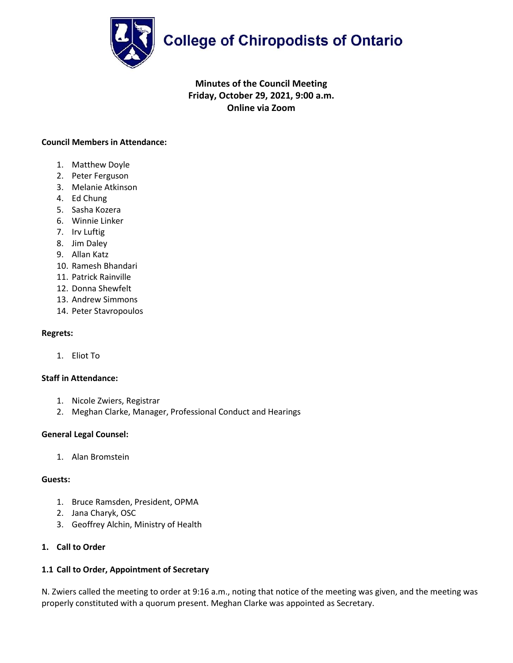

# **College of Chiropodists of Ontario**

# **Minutes of the Council Meeting Friday, October 29, 2021, 9:00 a.m. Online via Zoom**

# **Council Members in Attendance:**

- 1. Matthew Doyle
- 2. Peter Ferguson
- 3. Melanie Atkinson
- 4. Ed Chung
- 5. Sasha Kozera
- 6. Winnie Linker
- 7. Irv Luftig
- 8. Jim Daley
- 9. Allan Katz
- 10. Ramesh Bhandari
- 11. Patrick Rainville
- 12. Donna Shewfelt
- 13. Andrew Simmons
- 14. Peter Stavropoulos

# **Regrets:**

1. Eliot To

# **Staff in Attendance:**

- 1. Nicole Zwiers, Registrar
- 2. Meghan Clarke, Manager, Professional Conduct and Hearings

# **General Legal Counsel:**

1. Alan Bromstein

# **Guests:**

- 1. Bruce Ramsden, President, OPMA
- 2. Jana Charyk, OSC
- 3. Geoffrey Alchin, Ministry of Health

# **1. Call to Order**

# **1.1 Call to Order, Appointment of Secretary**

N. Zwiers called the meeting to order at 9:16 a.m., noting that notice of the meeting was given, and the meeting was properly constituted with a quorum present. Meghan Clarke was appointed as Secretary.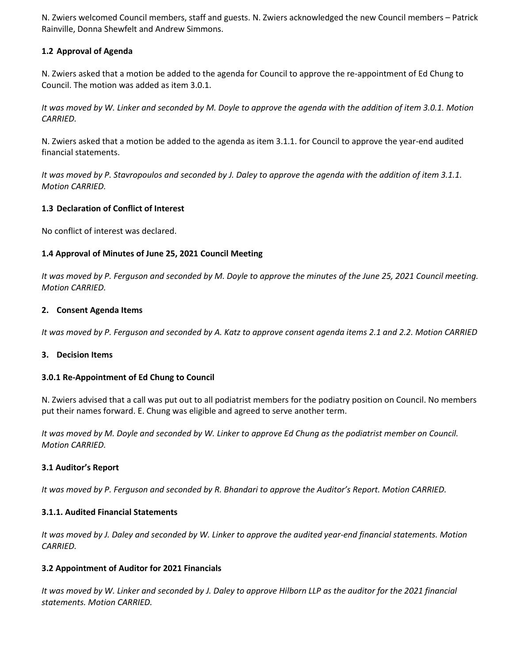N. Zwiers welcomed Council members, staff and guests. N. Zwiers acknowledged the new Council members – Patrick Rainville, Donna Shewfelt and Andrew Simmons.

# **1.2 Approval of Agenda**

N. Zwiers asked that a motion be added to the agenda for Council to approve the re-appointment of Ed Chung to Council. The motion was added as item 3.0.1.

*It was moved by W. Linker and seconded by M. Doyle to approve the agenda with the addition of item 3.0.1. Motion CARRIED.*

N. Zwiers asked that a motion be added to the agenda as item 3.1.1. for Council to approve the year-end audited financial statements.

*It was moved by P. Stavropoulos and seconded by J. Daley to approve the agenda with the addition of item 3.1.1. Motion CARRIED.*

# **1.3 Declaration of Conflict of Interest**

No conflict of interest was declared.

# **1.4 Approval of Minutes of June 25, 2021 Council Meeting**

*It was moved by P. Ferguson and seconded by M. Doyle to approve the minutes of the June 25, 2021 Council meeting. Motion CARRIED.*

# **2. Consent Agenda Items**

*It was moved by P. Ferguson and seconded by A. Katz to approve consent agenda items 2.1 and 2.2. Motion CARRIED*

# **3. Decision Items**

# **3.0.1 Re-Appointment of Ed Chung to Council**

N. Zwiers advised that a call was put out to all podiatrist members for the podiatry position on Council. No members put their names forward. E. Chung was eligible and agreed to serve another term.

*It was moved by M. Doyle and seconded by W. Linker to approve Ed Chung as the podiatrist member on Council. Motion CARRIED.*

# **3.1 Auditor's Report**

*It was moved by P. Ferguson and seconded by R. Bhandari to approve the Auditor's Report. Motion CARRIED.*

# **3.1.1. Audited Financial Statements**

*It was moved by J. Daley and seconded by W. Linker to approve the audited year-end financial statements. Motion CARRIED.*

# **3.2 Appointment of Auditor for 2021 Financials**

*It was moved by W. Linker and seconded by J. Daley to approve Hilborn LLP as the auditor for the 2021 financial statements. Motion CARRIED.*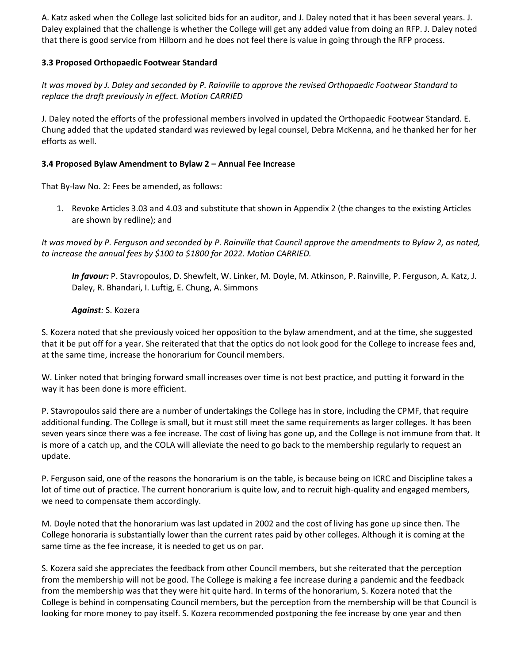A. Katz asked when the College last solicited bids for an auditor, and J. Daley noted that it has been several years. J. Daley explained that the challenge is whether the College will get any added value from doing an RFP. J. Daley noted that there is good service from Hilborn and he does not feel there is value in going through the RFP process.

# **3.3 Proposed Orthopaedic Footwear Standard**

*It was moved by J. Daley and seconded by P. Rainville to approve the revised Orthopaedic Footwear Standard to replace the draft previously in effect. Motion CARRIED*

J. Daley noted the efforts of the professional members involved in updated the Orthopaedic Footwear Standard. E. Chung added that the updated standard was reviewed by legal counsel, Debra McKenna, and he thanked her for her efforts as well.

# **3.4 Proposed Bylaw Amendment to Bylaw 2 – Annual Fee Increase**

That By-law No. 2: Fees be amended, as follows:

1. Revoke Articles 3.03 and 4.03 and substitute that shown in Appendix 2 (the changes to the existing Articles are shown by redline); and

*It was moved by P. Ferguson and seconded by P. Rainville that Council approve the amendments to Bylaw 2, as noted, to increase the annual fees by \$100 to \$1800 for 2022. Motion CARRIED.*

*In favour:* P. Stavropoulos, D. Shewfelt, W. Linker, M. Doyle, M. Atkinson, P. Rainville, P. Ferguson, A. Katz, J. Daley, R. Bhandari, I. Luftig, E. Chung, A. Simmons

# *Against:* S. Kozera

S. Kozera noted that she previously voiced her opposition to the bylaw amendment, and at the time, she suggested that it be put off for a year. She reiterated that that the optics do not look good for the College to increase fees and, at the same time, increase the honorarium for Council members.

W. Linker noted that bringing forward small increases over time is not best practice, and putting it forward in the way it has been done is more efficient.

P. Stavropoulos said there are a number of undertakings the College has in store, including the CPMF, that require additional funding. The College is small, but it must still meet the same requirements as larger colleges. It has been seven years since there was a fee increase. The cost of living has gone up, and the College is not immune from that. It is more of a catch up, and the COLA will alleviate the need to go back to the membership regularly to request an update.

P. Ferguson said, one of the reasons the honorarium is on the table, is because being on ICRC and Discipline takes a lot of time out of practice. The current honorarium is quite low, and to recruit high-quality and engaged members, we need to compensate them accordingly.

M. Doyle noted that the honorarium was last updated in 2002 and the cost of living has gone up since then. The College honoraria is substantially lower than the current rates paid by other colleges. Although it is coming at the same time as the fee increase, it is needed to get us on par.

S. Kozera said she appreciates the feedback from other Council members, but she reiterated that the perception from the membership will not be good. The College is making a fee increase during a pandemic and the feedback from the membership was that they were hit quite hard. In terms of the honorarium, S. Kozera noted that the College is behind in compensating Council members, but the perception from the membership will be that Council is looking for more money to pay itself. S. Kozera recommended postponing the fee increase by one year and then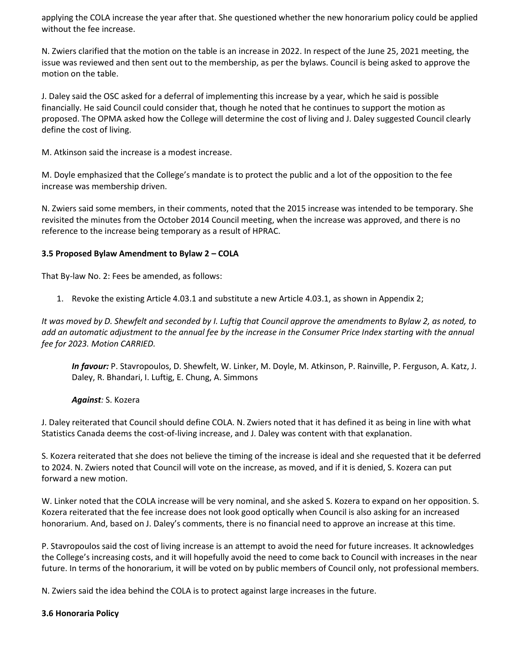applying the COLA increase the year after that. She questioned whether the new honorarium policy could be applied without the fee increase.

N. Zwiers clarified that the motion on the table is an increase in 2022. In respect of the June 25, 2021 meeting, the issue was reviewed and then sent out to the membership, as per the bylaws. Council is being asked to approve the motion on the table.

J. Daley said the OSC asked for a deferral of implementing this increase by a year, which he said is possible financially. He said Council could consider that, though he noted that he continues to support the motion as proposed. The OPMA asked how the College will determine the cost of living and J. Daley suggested Council clearly define the cost of living.

M. Atkinson said the increase is a modest increase.

M. Doyle emphasized that the College's mandate is to protect the public and a lot of the opposition to the fee increase was membership driven.

N. Zwiers said some members, in their comments, noted that the 2015 increase was intended to be temporary. She revisited the minutes from the October 2014 Council meeting, when the increase was approved, and there is no reference to the increase being temporary as a result of HPRAC.

# **3.5 Proposed Bylaw Amendment to Bylaw 2 – COLA**

That By-law No. 2: Fees be amended, as follows:

1. Revoke the existing Article 4.03.1 and substitute a new Article 4.03.1, as shown in Appendix 2;

*It was moved by D. Shewfelt and seconded by I. Luftig that Council approve the amendments to Bylaw 2, as noted, to add an automatic adjustment to the annual fee by the increase in the Consumer Price Index starting with the annual fee for 2023. Motion CARRIED.*

*In favour:* P. Stavropoulos, D. Shewfelt, W. Linker, M. Doyle, M. Atkinson, P. Rainville, P. Ferguson, A. Katz, J. Daley, R. Bhandari, I. Luftig, E. Chung, A. Simmons

*Against:* S. Kozera

J. Daley reiterated that Council should define COLA. N. Zwiers noted that it has defined it as being in line with what Statistics Canada deems the cost-of-living increase, and J. Daley was content with that explanation.

S. Kozera reiterated that she does not believe the timing of the increase is ideal and she requested that it be deferred to 2024. N. Zwiers noted that Council will vote on the increase, as moved, and if it is denied, S. Kozera can put forward a new motion.

W. Linker noted that the COLA increase will be very nominal, and she asked S. Kozera to expand on her opposition. S. Kozera reiterated that the fee increase does not look good optically when Council is also asking for an increased honorarium. And, based on J. Daley's comments, there is no financial need to approve an increase at this time.

P. Stavropoulos said the cost of living increase is an attempt to avoid the need for future increases. It acknowledges the College's increasing costs, and it will hopefully avoid the need to come back to Council with increases in the near future. In terms of the honorarium, it will be voted on by public members of Council only, not professional members.

N. Zwiers said the idea behind the COLA is to protect against large increases in the future.

# **3.6 Honoraria Policy**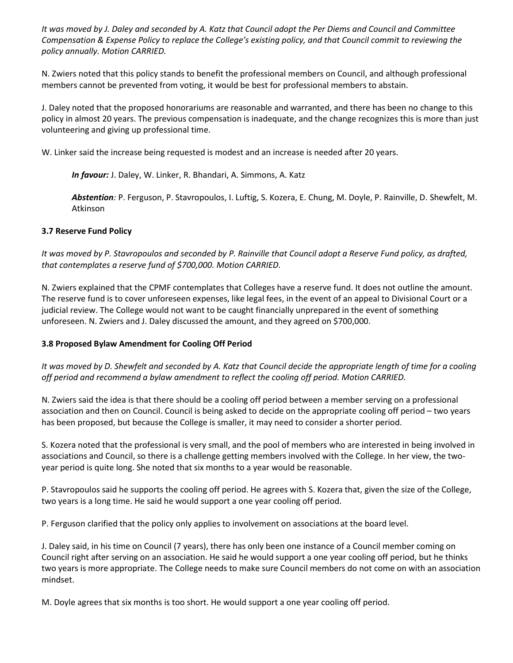*It was moved by J. Daley and seconded by A. Katz that Council adopt the Per Diems and Council and Committee Compensation & Expense Policy to replace the College's existing policy, and that Council commit to reviewing the policy annually. Motion CARRIED.*

N. Zwiers noted that this policy stands to benefit the professional members on Council, and although professional members cannot be prevented from voting, it would be best for professional members to abstain.

J. Daley noted that the proposed honorariums are reasonable and warranted, and there has been no change to this policy in almost 20 years. The previous compensation is inadequate, and the change recognizes this is more than just volunteering and giving up professional time.

W. Linker said the increase being requested is modest and an increase is needed after 20 years.

*In favour:* J. Daley, W. Linker, R. Bhandari, A. Simmons, A. Katz

*Abstention:* P. Ferguson, P. Stavropoulos, I. Luftig, S. Kozera, E. Chung, M. Doyle, P. Rainville, D. Shewfelt, M. Atkinson

# **3.7 Reserve Fund Policy**

*It was moved by P. Stavropoulos and seconded by P. Rainville that Council adopt a Reserve Fund policy, as drafted, that contemplates a reserve fund of \$700,000. Motion CARRIED.*

N. Zwiers explained that the CPMF contemplates that Colleges have a reserve fund. It does not outline the amount. The reserve fund is to cover unforeseen expenses, like legal fees, in the event of an appeal to Divisional Court or a judicial review. The College would not want to be caught financially unprepared in the event of something unforeseen. N. Zwiers and J. Daley discussed the amount, and they agreed on \$700,000.

# **3.8 Proposed Bylaw Amendment for Cooling Off Period**

*It was moved by D. Shewfelt and seconded by A. Katz that Council decide the appropriate length of time for a cooling off period and recommend a bylaw amendment to reflect the cooling off period. Motion CARRIED.*

N. Zwiers said the idea is that there should be a cooling off period between a member serving on a professional association and then on Council. Council is being asked to decide on the appropriate cooling off period – two years has been proposed, but because the College is smaller, it may need to consider a shorter period.

S. Kozera noted that the professional is very small, and the pool of members who are interested in being involved in associations and Council, so there is a challenge getting members involved with the College. In her view, the twoyear period is quite long. She noted that six months to a year would be reasonable.

P. Stavropoulos said he supports the cooling off period. He agrees with S. Kozera that, given the size of the College, two years is a long time. He said he would support a one year cooling off period.

P. Ferguson clarified that the policy only applies to involvement on associations at the board level.

J. Daley said, in his time on Council (7 years), there has only been one instance of a Council member coming on Council right after serving on an association. He said he would support a one year cooling off period, but he thinks two years is more appropriate. The College needs to make sure Council members do not come on with an association mindset.

M. Doyle agrees that six months is too short. He would support a one year cooling off period.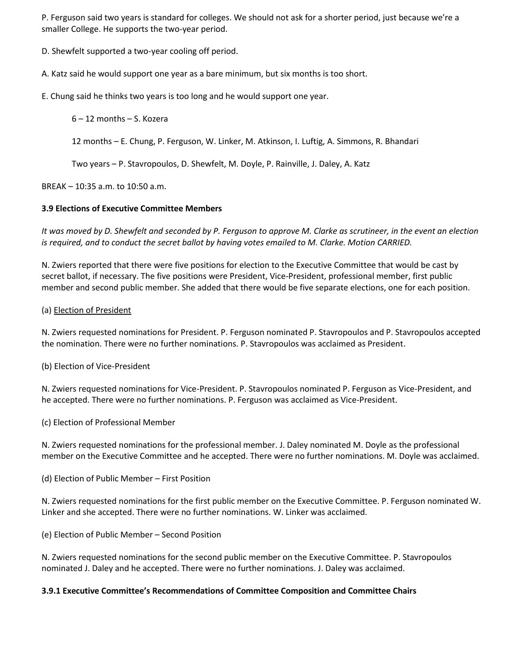P. Ferguson said two years is standard for colleges. We should not ask for a shorter period, just because we're a smaller College. He supports the two-year period.

D. Shewfelt supported a two-year cooling off period.

A. Katz said he would support one year as a bare minimum, but six months is too short.

E. Chung said he thinks two years is too long and he would support one year.

6 – 12 months – S. Kozera

12 months – E. Chung, P. Ferguson, W. Linker, M. Atkinson, I. Luftig, A. Simmons, R. Bhandari

Two years – P. Stavropoulos, D. Shewfelt, M. Doyle, P. Rainville, J. Daley, A. Katz

BREAK – 10:35 a.m. to 10:50 a.m.

# **3.9 Elections of Executive Committee Members**

*It was moved by D. Shewfelt and seconded by P. Ferguson to approve M. Clarke as scrutineer, in the event an election is required, and to conduct the secret ballot by having votes emailed to M. Clarke. Motion CARRIED.*

N. Zwiers reported that there were five positions for election to the Executive Committee that would be cast by secret ballot, if necessary. The five positions were President, Vice-President, professional member, first public member and second public member. She added that there would be five separate elections, one for each position.

# (a) Election of President

N. Zwiers requested nominations for President. P. Ferguson nominated P. Stavropoulos and P. Stavropoulos accepted the nomination. There were no further nominations. P. Stavropoulos was acclaimed as President.

(b) Election of Vice-President

N. Zwiers requested nominations for Vice-President. P. Stavropoulos nominated P. Ferguson as Vice-President, and he accepted. There were no further nominations. P. Ferguson was acclaimed as Vice-President.

(c) Election of Professional Member

N. Zwiers requested nominations for the professional member. J. Daley nominated M. Doyle as the professional member on the Executive Committee and he accepted. There were no further nominations. M. Doyle was acclaimed.

(d) Election of Public Member – First Position

N. Zwiers requested nominations for the first public member on the Executive Committee. P. Ferguson nominated W. Linker and she accepted. There were no further nominations. W. Linker was acclaimed.

(e) Election of Public Member – Second Position

N. Zwiers requested nominations for the second public member on the Executive Committee. P. Stavropoulos nominated J. Daley and he accepted. There were no further nominations. J. Daley was acclaimed.

# **3.9.1 Executive Committee's Recommendations of Committee Composition and Committee Chairs**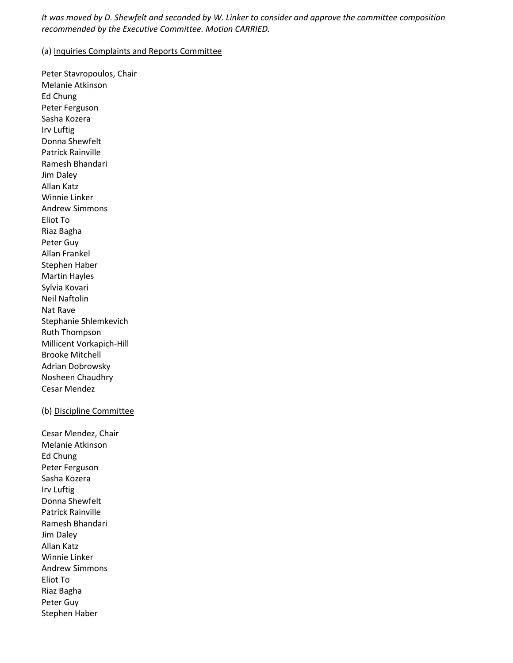*It was moved by D. Shewfelt and seconded by W. Linker to consider and approve the committee composition recommended by the Executive Committee. Motion CARRIED.*

## (a) Inquiries Complaints and Reports Committee

Peter Stavropoulos, Chair Melanie Atkinson Ed Chung Peter Ferguson Sasha Kozera Irv Luftig Donna Shewfelt Patrick Rainville Ramesh Bhandari Jim Daley Allan Katz Winnie Linker Andrew Simmons Eliot To Riaz Bagha Peter Guy Allan Frankel Stephen Haber Martin Hayles Sylvia Kovari Neil Naftolin Nat Rave Stephanie Shlemkevich Ruth Thompson Millicent Vorkapich-Hill Brooke Mitchell Adrian Dobrowsky Nosheen Chaudhry Cesar Mendez

#### (b) Discipline Committee

Cesar Mendez, Chair Melanie Atkinson Ed Chung Peter Ferguson Sasha Kozera Irv Luftig Donna Shewfelt Patrick Rainville Ramesh Bhandari Jim Daley Allan Katz Winnie Linker Andrew Simmons Eliot To Riaz Bagha Peter Guy Stephen Haber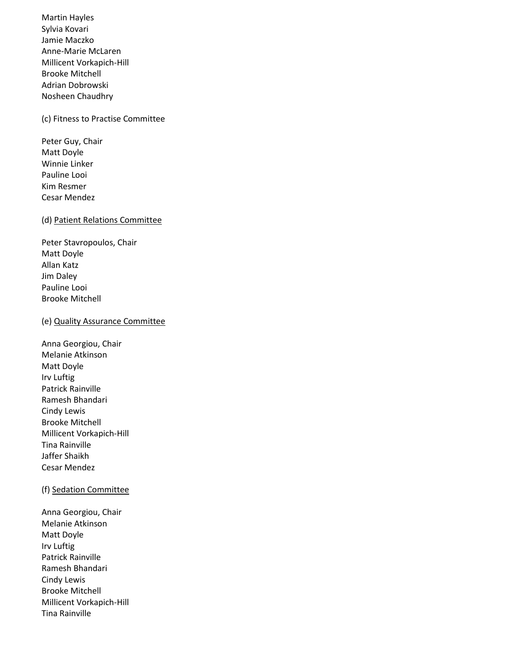Martin Hayles Sylvia Kovari Jamie Maczko Anne-Marie McLaren Millicent Vorkapich-Hill Brooke Mitchell Adrian Dobrowski Nosheen Chaudhry

#### (c) Fitness to Practise Committee

Peter Guy, Chair Matt Doyle Winnie Linker Pauline Looi Kim Resmer Cesar Mendez

#### (d) Patient Relations Committee

Peter Stavropoulos, Chair Matt Doyle Allan Katz Jim Daley Pauline Looi Brooke Mitchell

#### (e) Quality Assurance Committee

Anna Georgiou, Chair Melanie Atkinson Matt Doyle Irv Luftig Patrick Rainville Ramesh Bhandari Cindy Lewis Brooke Mitchell Millicent Vorkapich-Hill Tina Rainville Jaffer Shaikh Cesar Mendez

## (f) Sedation Committee

Anna Georgiou, Chair Melanie Atkinson Matt Doyle Irv Luftig Patrick Rainville Ramesh Bhandari Cindy Lewis Brooke Mitchell Millicent Vorkapich-Hill Tina Rainville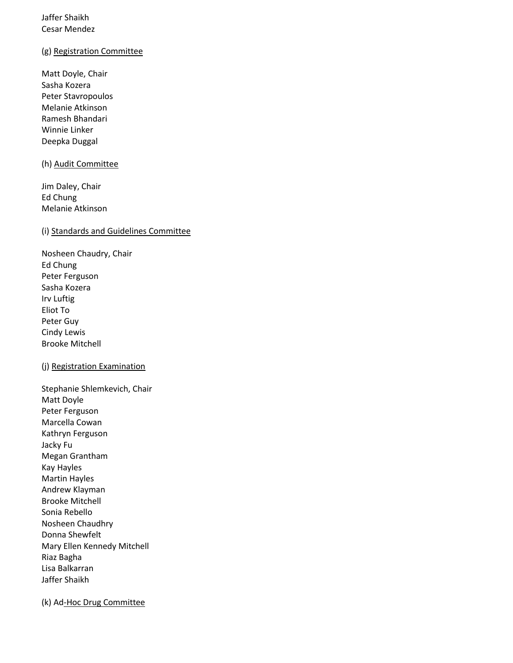# Jaffer Shaikh Cesar Mendez

## (g) Registration Committee

Matt Doyle, Chair Sasha Kozera Peter Stavropoulos Melanie Atkinson Ramesh Bhandari Winnie Linker Deepka Duggal

#### (h) Audit Committee

Jim Daley, Chair Ed Chung Melanie Atkinson

# (i) Standards and Guidelines Committee

Nosheen Chaudry, Chair Ed Chung Peter Ferguson Sasha Kozera Irv Luftig Eliot To Peter Guy Cindy Lewis Brooke Mitchell

# (j) Registration Examination

Stephanie Shlemkevich, Chair Matt Doyle Peter Ferguson Marcella Cowan Kathryn Ferguson Jacky Fu Megan Grantham Kay Hayles Martin Hayles Andrew Klayman Brooke Mitchell Sonia Rebello Nosheen Chaudhry Donna Shewfelt Mary Ellen Kennedy Mitchell Riaz Bagha Lisa Balkarran Jaffer Shaikh

(k) Ad-Hoc Drug Committee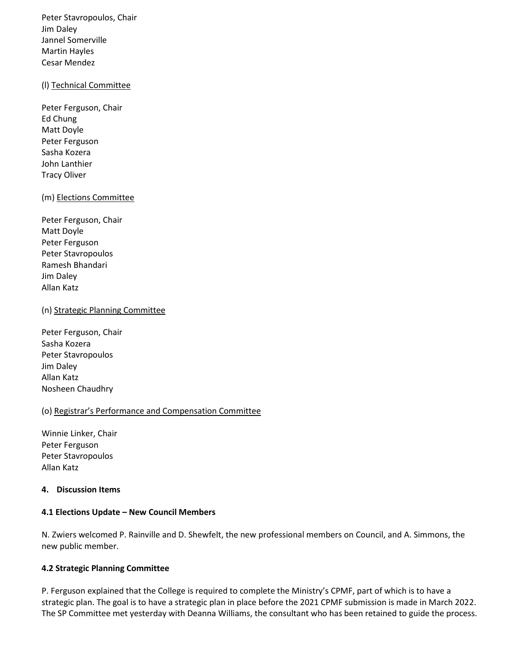Peter Stavropoulos, Chair Jim Daley Jannel Somerville Martin Hayles Cesar Mendez

## (l) Technical Committee

Peter Ferguson, Chair Ed Chung Matt Doyle Peter Ferguson Sasha Kozera John Lanthier Tracy Oliver

## (m) Elections Committee

Peter Ferguson, Chair Matt Doyle Peter Ferguson Peter Stavropoulos Ramesh Bhandari Jim Daley Allan Katz

## (n) Strategic Planning Committee

Peter Ferguson, Chair Sasha Kozera Peter Stavropoulos Jim Daley Allan Katz Nosheen Chaudhry

## (o) Registrar's Performance and Compensation Committee

Winnie Linker, Chair Peter Ferguson Peter Stavropoulos Allan Katz

# **4. Discussion Items**

#### **4.1 Elections Update – New Council Members**

N. Zwiers welcomed P. Rainville and D. Shewfelt, the new professional members on Council, and A. Simmons, the new public member.

# **4.2 Strategic Planning Committee**

P. Ferguson explained that the College is required to complete the Ministry's CPMF, part of which is to have a strategic plan. The goal is to have a strategic plan in place before the 2021 CPMF submission is made in March 2022. The SP Committee met yesterday with Deanna Williams, the consultant who has been retained to guide the process.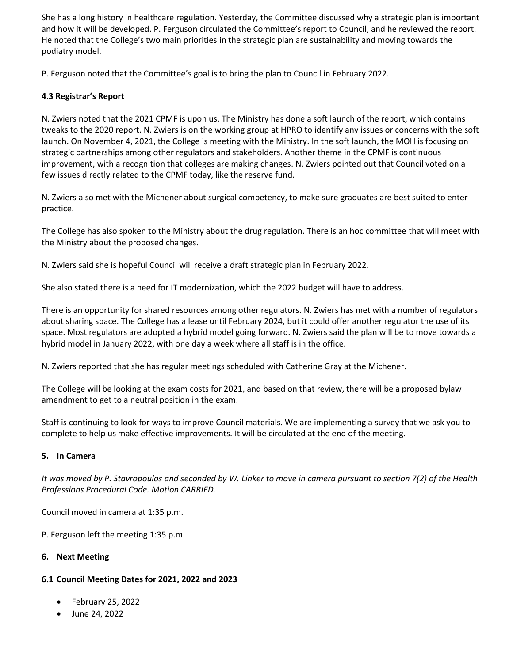She has a long history in healthcare regulation. Yesterday, the Committee discussed why a strategic plan is important and how it will be developed. P. Ferguson circulated the Committee's report to Council, and he reviewed the report. He noted that the College's two main priorities in the strategic plan are sustainability and moving towards the podiatry model.

P. Ferguson noted that the Committee's goal is to bring the plan to Council in February 2022.

# **4.3 Registrar's Report**

N. Zwiers noted that the 2021 CPMF is upon us. The Ministry has done a soft launch of the report, which contains tweaks to the 2020 report. N. Zwiers is on the working group at HPRO to identify any issues or concerns with the soft launch. On November 4, 2021, the College is meeting with the Ministry. In the soft launch, the MOH is focusing on strategic partnerships among other regulators and stakeholders. Another theme in the CPMF is continuous improvement, with a recognition that colleges are making changes. N. Zwiers pointed out that Council voted on a few issues directly related to the CPMF today, like the reserve fund.

N. Zwiers also met with the Michener about surgical competency, to make sure graduates are best suited to enter practice.

The College has also spoken to the Ministry about the drug regulation. There is an hoc committee that will meet with the Ministry about the proposed changes.

N. Zwiers said she is hopeful Council will receive a draft strategic plan in February 2022.

She also stated there is a need for IT modernization, which the 2022 budget will have to address.

There is an opportunity for shared resources among other regulators. N. Zwiers has met with a number of regulators about sharing space. The College has a lease until February 2024, but it could offer another regulator the use of its space. Most regulators are adopted a hybrid model going forward. N. Zwiers said the plan will be to move towards a hybrid model in January 2022, with one day a week where all staff is in the office.

N. Zwiers reported that she has regular meetings scheduled with Catherine Gray at the Michener.

The College will be looking at the exam costs for 2021, and based on that review, there will be a proposed bylaw amendment to get to a neutral position in the exam.

Staff is continuing to look for ways to improve Council materials. We are implementing a survey that we ask you to complete to help us make effective improvements. It will be circulated at the end of the meeting.

# **5. In Camera**

*It was moved by P. Stavropoulos and seconded by W. Linker to move in camera pursuant to section 7(2) of the Health Professions Procedural Code. Motion CARRIED.*

Council moved in camera at 1:35 p.m.

P. Ferguson left the meeting 1:35 p.m.

# **6. Next Meeting**

# **6.1 Council Meeting Dates for 2021, 2022 and 2023**

- February 25, 2022
- June 24, 2022